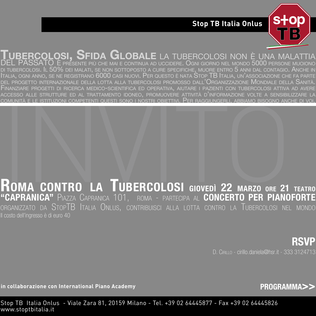## **Stop TB Italia Onlus s op**



# **TUBERCOLOSI, SFIDA GLOBALE** LA TUBERCOLOSI NON <sup>È</sup> UNA MALATTIA DEL PASSATO È PRESENTE PIÙ CHE MAI <sup>E</sup> CONTINUA AD UCCIDERE. OGNI GIORNO NEL MONDO 5000 PERSONE MUOIONO

IL 50% DEI MALATI, SE NON SOTTOPOSTO A CURE SPECIFICHE, MUORE ENTRO 5 ANNI DAL CONTAGIO. ANCHE II ITALIA, OGNI ANNO, SE NE REGISTRANO 6000 CASI NUOVI. PER QUESTO È NATA STOP TB ITALIA, UN'ASSOCIAZIONE CHE FA PARTE DEL PROGETTO INTERNAZIONALE DELLA LOTTA ALLA TUBERCOLOSI PROMOSSO DALL'ORGANIZZAZIONE MONDIALE DELLA SANITÀ.<br>Finanziare progetti di ricerca medico-scientifica ed operativa, aiutare i pazienti con tubercolosi attiva ad aver ACCESSO ALLE STRUTTURE ED AL TRATTAMENTO IDONEO, PROMUOVERE ATTIVITÀ D'INFORMAZIONE VOLTE A SENSIBILIZZARE LA COMUNITÀ E LE ISTITUZIONI COMPETENTI QUESTI SONO I NOSTRI OBIETTIVI. PER RAGGIUNGERLI, ABBIAMO BISOGNO ANCHE DI VOI.

# **ROMA CONTRO LA TUBERCOLOSI GIOVEDÌ 22 MARZO ORE 21 TEATRO "COMUNITA E LE ISTITUZIONI COMPETENTI QUESTI SONO I NOSTRI OBIETTIVI. PER RAGGIUNGERLI, ABBIAMO BISOGNO ANCHE DI VOI<br>|-<br><b>| ROMA CONTRO LA TUBERCOLOSI giovedì 22 marzo ore 21 teatro**<br>**"CAPRANICA"** PIAZZA CAPRANICA 101, ROM ORGANIZZATO DA STOPTB ITALIA ONLUS, CONTRIBUISCI ALLA LOTTA CONTRO LA TUBERCOLOSI NEL MONDO Il costo dell'ingresso è di euro 40 I QUESTI SONO I NÓSTRI OBIETTIVI<br>**A TUBERCOLOS**<br>NICA 101, ROMA - PARTE **OLO** ivi, Per raggiungerli<br>SI Giovedì 22<br>Tecipa al **CONCE SI** <sub>rli, abbiamo bisogno ance<br>Call Marzo<br>22 Marzo ore 21<br>Certo Per Pianoi</sub>

**RSVP** D. CIRILLO - cirillo.daniela@hsr.it - 333 3124713

**in collaborazione con International Piano Academy**

**[PROGRAMMA>>](#page-1-0)**

Stop TB Italia Onlus - Viale Zara 81, 20159 Milano - Tel. +39 02 64445877 - Fax +39 02 64445826 www.stoptbitalia.it